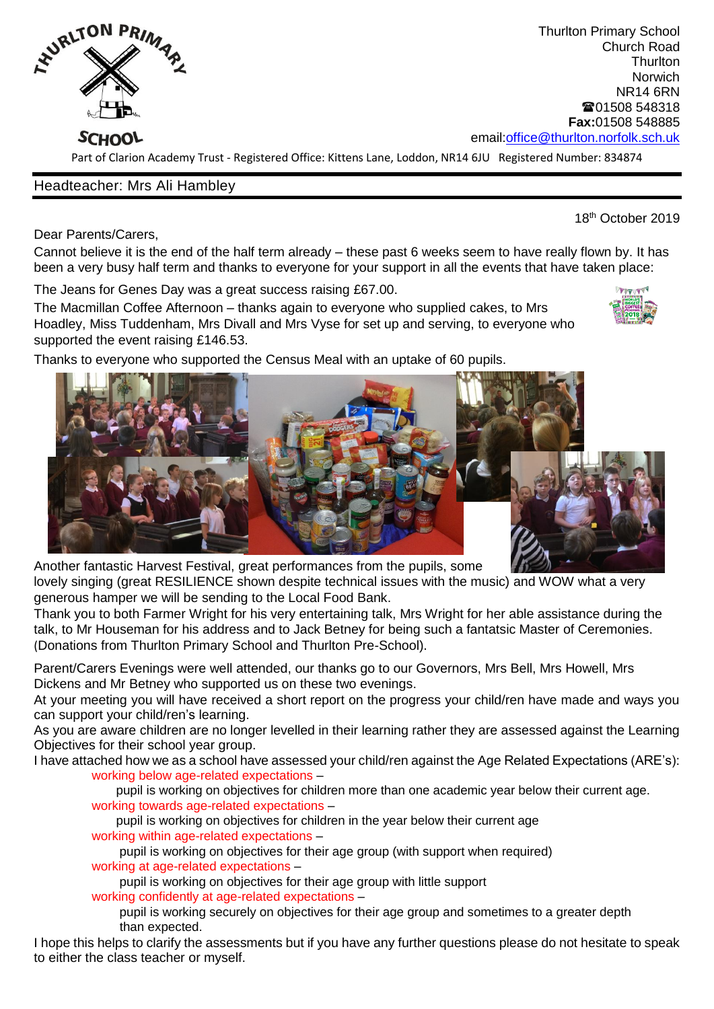

Thurlton Primary School Church Road **Thurlton Norwich** NR14 6RN ☎01508 548318 **Fax:**01508 548885 email[:office@thurlton.norfolk.sch.uk](mailto:office@thurlton.norfolk.sch.uk)

Part of Clarion Academy Trust - Registered Office: Kittens Lane, Loddon, NR14 6JU Registered Number: 834874

## Headteacher: Mrs Ali Hambley

the contract of the contract of the contract of the contract of the contract of the contract of the contract o Dear Parents/Carers,

Cannot believe it is the end of the half term already – these past 6 weeks seem to have really flown by. It has been a very busy half term and thanks to everyone for your support in all the events that have taken place:

The Jeans for Genes Day was a great success raising £67.00.

The Macmillan Coffee Afternoon – thanks again to everyone who supplied cakes, to Mrs Hoadley, Miss Tuddenham, Mrs Divall and Mrs Vyse for set up and serving, to everyone who supported the event raising £146.53.



18<sup>th</sup> October 2019

Thanks to everyone who supported the Census Meal with an uptake of 60 pupils.



Another fantastic Harvest Festival, great performances from the pupils, some

lovely singing (great RESILIENCE shown despite technical issues with the music) and WOW what a very generous hamper we will be sending to the Local Food Bank.

Thank you to both Farmer Wright for his very entertaining talk, Mrs Wright for her able assistance during the talk, to Mr Houseman for his address and to Jack Betney for being such a fantatsic Master of Ceremonies. (Donations from Thurlton Primary School and Thurlton Pre-School).

Parent/Carers Evenings were well attended, our thanks go to our Governors, Mrs Bell, Mrs Howell, Mrs Dickens and Mr Betney who supported us on these two evenings.

At your meeting you will have received a short report on the progress your child/ren have made and ways you can support your child/ren's learning.

As you are aware children are no longer levelled in their learning rather they are assessed against the Learning Objectives for their school year group.

I have attached how we as a school have assessed your child/ren against the Age Related Expectations (ARE's): working below age-related expectations –

 pupil is working on objectives for children more than one academic year below their current age. working towards age-related expectations –

 pupil is working on objectives for children in the year below their current age working within age-related expectations –

 pupil is working on objectives for their age group (with support when required) working at age-related expectations –

 pupil is working on objectives for their age group with little support working confidently at age-related expectations –

 pupil is working securely on objectives for their age group and sometimes to a greater depth than expected.

I hope this helps to clarify the assessments but if you have any further questions please do not hesitate to speak to either the class teacher or myself.